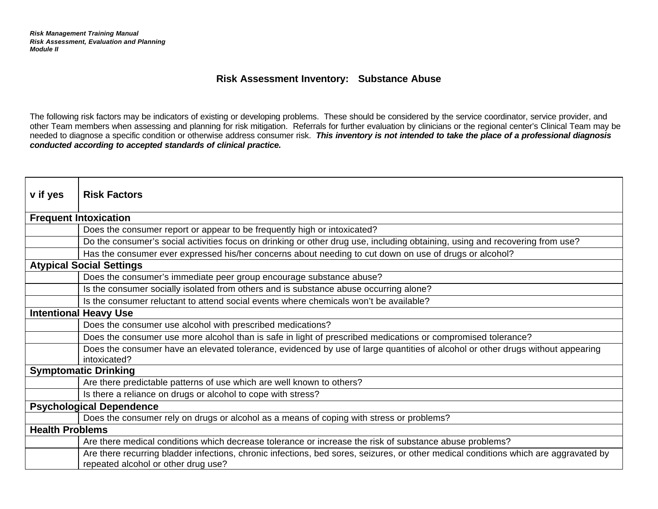## **Risk Assessment Inventory: Substance Abuse**

The following risk factors may be indicators of existing or developing problems. These should be considered by the service coordinator, service provider, and other Team members when assessing and planning for risk mitigation. Referrals for further evaluation by clinicians or the regional center's Clinical Team may be needed to diagnose a specific condition or otherwise address consumer risk. *This inventory is not intended to take the place of a professional diagnosis conducted according to accepted standards of clinical practice.* 

| v if yes                        | <b>Risk Factors</b>                                                                                                                                                         |
|---------------------------------|-----------------------------------------------------------------------------------------------------------------------------------------------------------------------------|
|                                 |                                                                                                                                                                             |
| <b>Frequent Intoxication</b>    |                                                                                                                                                                             |
|                                 | Does the consumer report or appear to be frequently high or intoxicated?                                                                                                    |
|                                 | Do the consumer's social activities focus on drinking or other drug use, including obtaining, using and recovering from use?                                                |
|                                 | Has the consumer ever expressed his/her concerns about needing to cut down on use of drugs or alcohol?                                                                      |
| <b>Atypical Social Settings</b> |                                                                                                                                                                             |
|                                 | Does the consumer's immediate peer group encourage substance abuse?                                                                                                         |
|                                 | Is the consumer socially isolated from others and is substance abuse occurring alone?                                                                                       |
|                                 | Is the consumer reluctant to attend social events where chemicals won't be available?                                                                                       |
| <b>Intentional Heavy Use</b>    |                                                                                                                                                                             |
|                                 | Does the consumer use alcohol with prescribed medications?                                                                                                                  |
|                                 | Does the consumer use more alcohol than is safe in light of prescribed medications or compromised tolerance?                                                                |
|                                 | Does the consumer have an elevated tolerance, evidenced by use of large quantities of alcohol or other drugs without appearing<br>intoxicated?                              |
| <b>Symptomatic Drinking</b>     |                                                                                                                                                                             |
|                                 | Are there predictable patterns of use which are well known to others?                                                                                                       |
|                                 | Is there a reliance on drugs or alcohol to cope with stress?                                                                                                                |
| <b>Psychological Dependence</b> |                                                                                                                                                                             |
|                                 | Does the consumer rely on drugs or alcohol as a means of coping with stress or problems?                                                                                    |
| <b>Health Problems</b>          |                                                                                                                                                                             |
|                                 | Are there medical conditions which decrease tolerance or increase the risk of substance abuse problems?                                                                     |
|                                 | Are there recurring bladder infections, chronic infections, bed sores, seizures, or other medical conditions which are aggravated by<br>repeated alcohol or other drug use? |